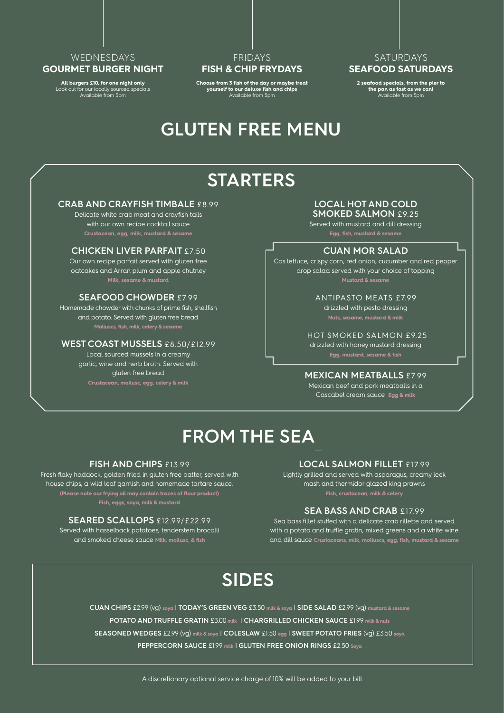### WEDNESDAYS **GOURMET BURGER NIGHT**

**All burgers £10, for one night only**  Look out for our locally sourced specials Available from 5pm

### FRIDAYS **FISH & CHIP FRYDAYS**

**Choose from 3 fish of the day or maybe treat yourself to our deluxe fish and chips** Available from 5pm

### **SATURDAYS SEAFOOD SATURDAYS**

**2 seafood specials, from the pier to the pan as fast as we can!** Available from 5pm

## **GLUTEN FREE MENU**

# **STARTERS**

### **CRAB AND CRAYFISH TIMBALE** £8.99

Delicate white crab meat and crayfish tails with our own recipe cocktail sauce **Crustacean, egg, milk, mustard & sesame**

### **CHICKEN LIVER PARFAIT** £7.50

Our own recipe parfait served with gluten free oatcakes and Arran plum and apple chutney **Milk, sesame & mustard**

### **SEAFOOD CHOWDER** £7.99

Homemade chowder with chunks of prime fish, shellfish and potato. Served with gluten free bread **Molluscs, fish, milk, celery & sesame**

### **WEST COAST MUSSELS** £8.50/£12.99

Local sourced mussels in a creamy garlic, wine and herb broth. Served with gluten free bread **Crustacean, mollusc, egg, celery & milk**

### **LOCAL HOT AND COLD**

**SMOKED SALMON** £9.25 Served with mustard and dill dressing

**Egg, fish, mustard & sesame**

#### **CUAN MOR SALAD**

Cos lettuce, crispy corn, red onion, cucumber and red pepper drop salad served with your choice of topping **Mustard & sesame**

> ANTIPASTO MEATS £7.99 drizzled with pesto dressing

 HOT SMOKED SALMON £9.25 drizzled with honey mustard dressing **Egg, mustard, sesame & fish** 

#### **MEXICAN MEATBALLS** £7.99

Mexican beef and pork meatballs in a Cascabel cream sauce **Egg & milk**

## **FROM THE SEA—**

### **FISH AND CHIPS** £13.99

Fresh flaky haddock, golden fried in gluten free batter, served with house chips, a wild leaf garnish and homemade tartare sauce. **(Please note our frying oil may contain traces of flour product) Fish, eggs, soya, milk & mustard**

#### **SEARED SCALLOPS** £12.99/£22.99

Served with hasselback potatoes, tenderstem brocolli and smoked cheese sauce **Milk, mollusc, & fish**

### **LOCAL SALMON FILLET** £17.99

Lightly grilled and served with asparagus, creamy leek mash and thermidor glazed king prawns **Fish, crustacean, milk & celery**

### **SEA BASS AND CRAB** £17.99

Sea bass fillet stuffed with a delicate crab rillette and served with a potato and truffle gratin, mixed greens and a white wine and dill sauce Crustaceans, milk, molluscs, egg, fish, mustard & se

## **SIDES**

**CUAN CHIPS** £2.99 (vg) **soya** | **TODAY'S GREEN VEG** £3.50 **milk & soya** | **SIDE SALAD** £2.99 (vg) **mustard & sesame POTATO AND TRUFFLE GRATIN** £3.00 **milk** | **CHARGRILLED CHICKEN SAUCE** £1.99 **milk & nuts SEASONED WEDGES** £2.99 (vg) **milk & soya** | **COLESLAW** £1.50 **egg** | **SWEET POTATO FRIES** (vg) £3.50 **soya PEPPERCORN SAUCE** £1.99 **milk** | **GLUTEN FREE ONION RINGS** £2.50 **Soya**

A discretionary optional service charge of 10% will be added to your bill